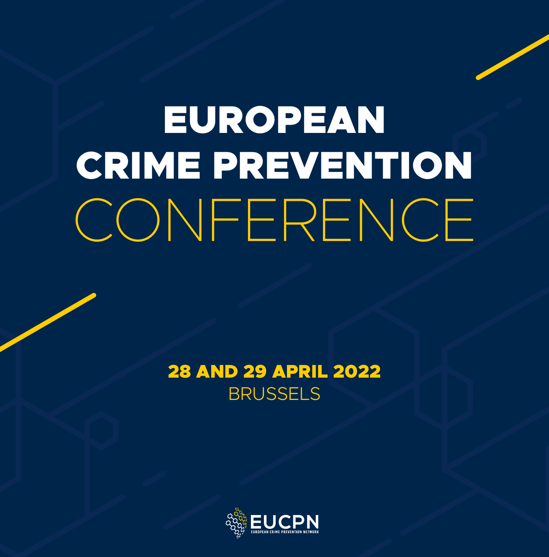# EUROPEAN CRIME PREVENTION CONFERENCE

### 28 AND 29 APRIL 2022 BRUSSELS

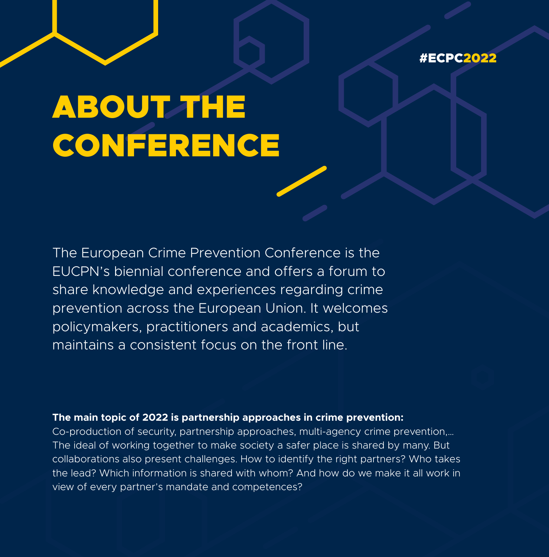

# **ABOUT THE** CONFERENCE

The European Crime Prevention Conference is the EUCPN's biennial conference and offers a forum to share knowledge and experiences regarding crime prevention across the European Union. It welcomes policymakers, practitioners and academics, but maintains a consistent focus on the front line.

#### **The main topic of 2022 is partnership approaches in crime prevention:**

Co-production of security, partnership approaches, multi-agency crime prevention,… The ideal of working together to make society a safer place is shared by many. But collaborations also present challenges. How to identify the right partners? Who takes the lead? Which information is shared with whom? And how do we make it all work in view of every partner's mandate and competences?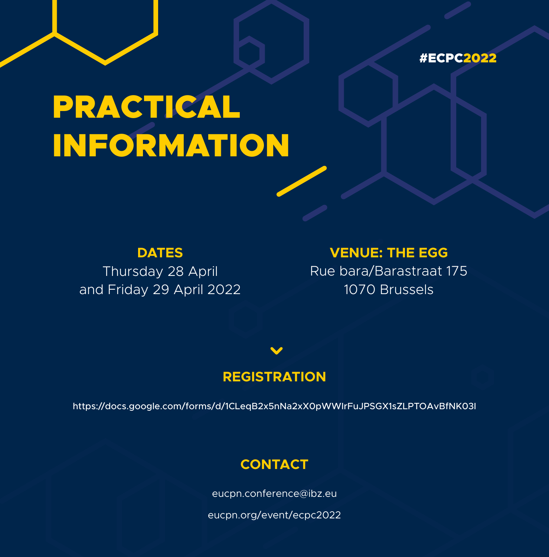

# PRACTICAL INFORMATION

**DATES**

Thursday 28 April and Friday 29 April 2022

### **VENUE: THE EGG**

Rue bara/Barastraat 175 1070 Brussels

### **REGISTRATION**

https://docs.google.com/forms/d/1CLeqB2x5nNa2xX0pWWIrFuJPSGX1sZLPTOAvBfNK03I

### **CONTACT**

eucpn.conference@ibz.eu

eucpn.org/event/ecpc2022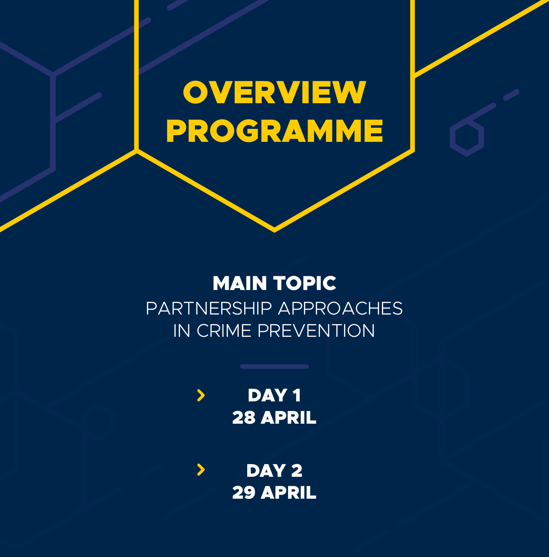# **OVERVIEW** PROGRAMME

### MAIN TOPIC PARTNERSHIP APPROACHES IN CRIME PREVENTION

DAY<sub>1</sub>  $\blacktriangleright$ 28 APRIL

 $\blacktriangleright$ DAY<sub>2</sub> 29 APRIL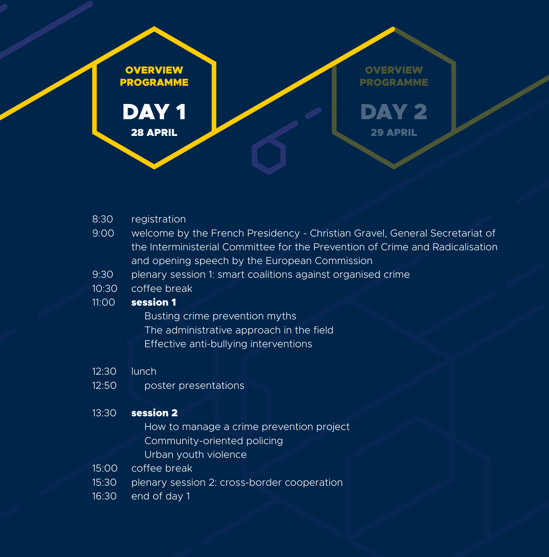

- 8:30 registration
- 9:00 welcome by the French Presidency Christian Gravel, General Secretariat of the Interministerial Committee for the Prevention of Crime and Radicalisation and opening speech by the European Commission
- 9:30 plenary session 1: smart coalitions against organised crime
- 10:30 coffee break

#### 11:00 session 1

 Busting crime prevention myths The administrative approach in the field Effective anti-bullying interventions

- 12:30 lunch
- 12:50 poster presentations

#### 13:30 **session 2**

 How to manage a crime prevention project Community-oriented policing Urban youth violence

- 15:00 coffee break
- 15:30 plenary session 2: cross-border cooperation
- 16:30 end of day 1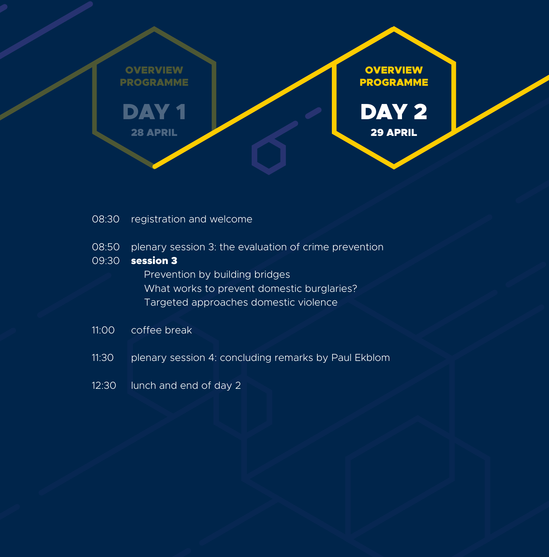

- 08:30 registration and welcome
- 08:50 plenary session 3: the evaluation of crime prevention

#### 09:30 **session 3**

 Prevention by building bridges What works to prevent domestic burglaries? Targeted approaches domestic violence

- 11:00 coffee break
- 11:30 plenary session 4: concluding remarks by Paul Ekblom
- 12:30 lunch and end of day 2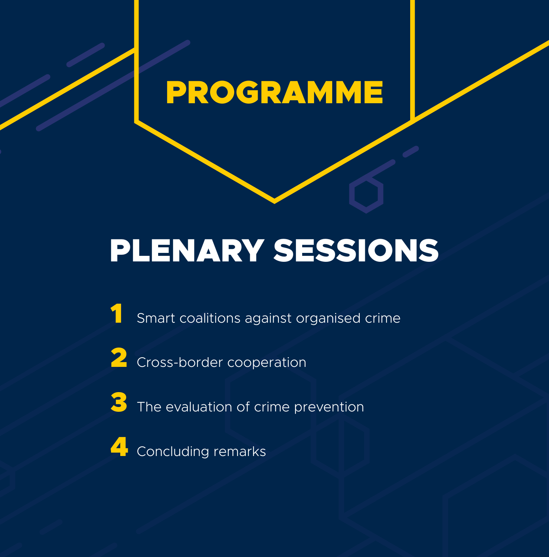# PROGRAMME

# PLENARY SESSIONS

Smart coalitions against organised crime

2 Cross-border cooperation

3 The evaluation of crime prevention

4 Concluding remarks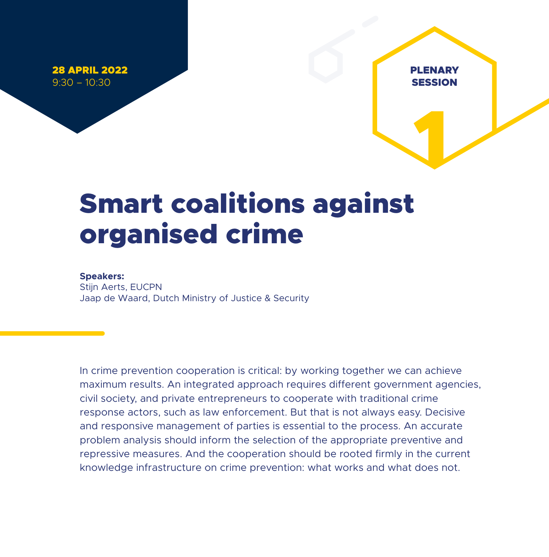28 APRIL 2022 9:30 – 10:30

## Smart coalitions against organised crime

PLENARY **SESSION** 

DAY 1

1

#### **Speakers:**

Stijn Aerts, EUCPN Jaap de Waard, Dutch Ministry of Justice & Security

In crime prevention cooperation is critical: by working together we can achieve maximum results. An integrated approach requires different government agencies, civil society, and private entrepreneurs to cooperate with traditional crime response actors, such as law enforcement. But that is not always easy. Decisive and responsive management of parties is essential to the process. An accurate problem analysis should inform the selection of the appropriate preventive and repressive measures. And the cooperation should be rooted firmly in the current knowledge infrastructure on crime prevention: what works and what does not.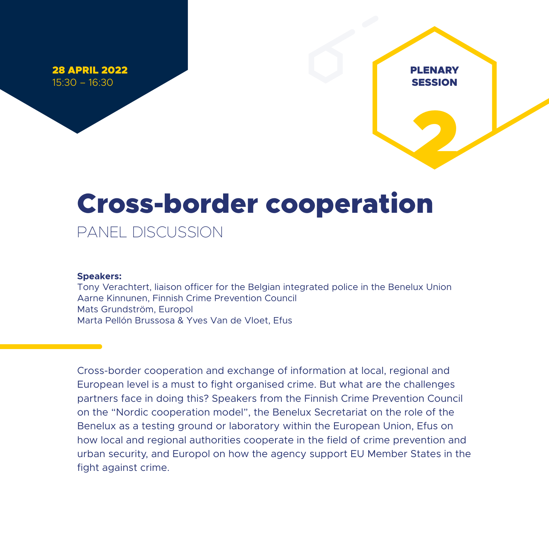28 APRIL 2022 15:30 – 16:30

# 2

DAY 1

PLENARY **SESSION** 

# Cross-border cooperation

PANEL DISCUSSION

#### **Speakers:**

Tony Verachtert, liaison officer for the Belgian integrated police in the Benelux Union Aarne Kinnunen, Finnish Crime Prevention Council Mats Grundström, Europol Marta Pellón Brussosa & Yves Van de Vloet, Efus

Cross-border cooperation and exchange of information at local, regional and European level is a must to fight organised crime. But what are the challenges partners face in doing this? Speakers from the Finnish Crime Prevention Council on the "Nordic cooperation model", the Benelux Secretariat on the role of the Benelux as a testing ground or laboratory within the European Union, Efus on how local and regional authorities cooperate in the field of crime prevention and urban security, and Europol on how the agency support EU Member States in the fight against crime.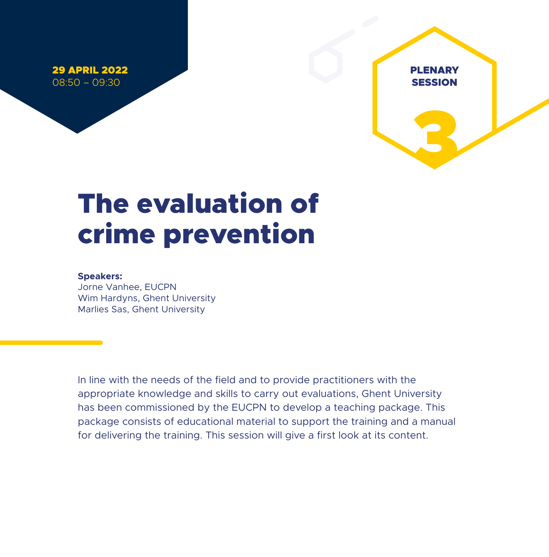29 APRIL 2022 08:50 – 09:30



### The evaluation of crime prevention

#### **Speakers:**

Jorne Vanhee, EUCPN Wim Hardyns, Ghent University Marlies Sas, Ghent University

In line with the needs of the field and to provide practitioners with the appropriate knowledge and skills to carry out evaluations, Ghent University has been commissioned by the EUCPN to develop a teaching package. This package consists of educational material to support the training and a manual for delivering the training. This session will give a first look at its content.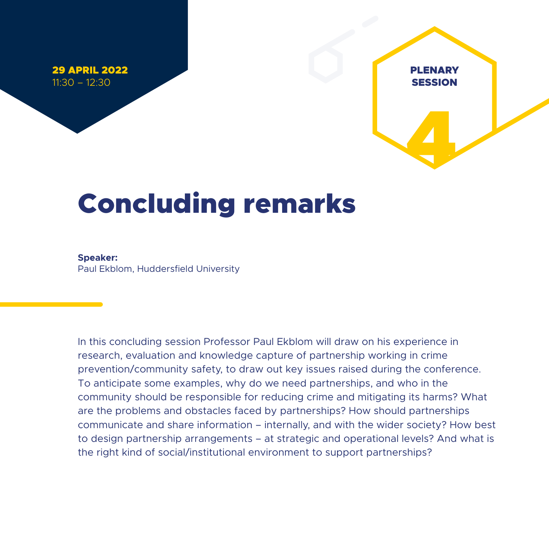29 APRIL 2022 11:30 – 12:30



### Concluding remarks

**Speaker:**  Paul Ekblom, Huddersfield University

In this concluding session Professor Paul Ekblom will draw on his experience in research, evaluation and knowledge capture of partnership working in crime prevention/community safety, to draw out key issues raised during the conference. To anticipate some examples, why do we need partnerships, and who in the community should be responsible for reducing crime and mitigating its harms? What are the problems and obstacles faced by partnerships? How should partnerships communicate and share information – internally, and with the wider society? How best to design partnership arrangements – at strategic and operational levels? And what is the right kind of social/institutional environment to support partnerships?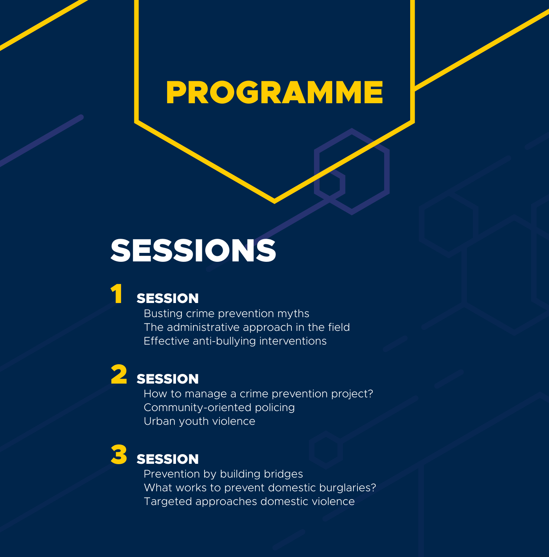### PROGRAMME

### SESSIONS

### **SESSION**

 Busting crime prevention myths The administrative approach in the field Effective anti-bullying interventions

**2** SESSION<br>How to manage a crime prevention project? Community-oriented policing Urban youth violence

### **SESSION**

 Prevention by building bridges What works to prevent domestic burglaries? Targeted approaches domestic violence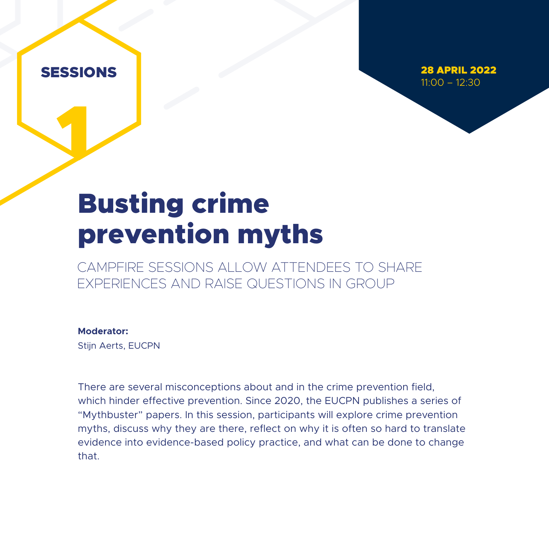1

28 APRIL 2022 11:00 – 12:30

### Busting crime prevention myths

CAMPFIRE SESSIONS ALLOW ATTENDEES TO SHARE EXPERIENCES AND RAISE QUESTIONS IN GROUP

#### **Moderator:**

Stijn Aerts, EUCPN

There are several misconceptions about and in the crime prevention field, which hinder effective prevention. Since 2020, the EUCPN publishes a series of "Mythbuster" papers. In this session, participants will explore crime prevention myths, discuss why they are there, reflect on why it is often so hard to translate evidence into evidence-based policy practice, and what can be done to change that.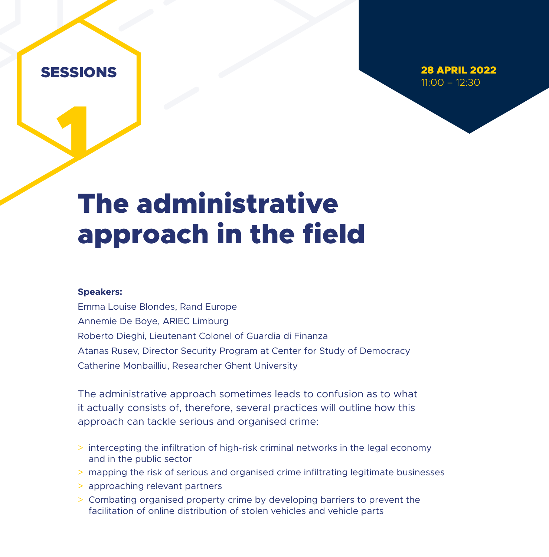1

28 APRIL 2022 11:00 – 12:30

### The administrative approach in the field

#### **Speakers:**

Emma Louise Blondes, Rand Europe Annemie De Boye, ARIEC Limburg Roberto Dieghi, Lieutenant Colonel of Guardia di Finanza Atanas Rusev, Director Security Program at Center for Study of Democracy Catherine Monbailliu, Researcher Ghent University

The administrative approach sometimes leads to confusion as to what it actually consists of, therefore, several practices will outline how this approach can tackle serious and organised crime:

- > intercepting the infiltration of high-risk criminal networks in the legal economy and in the public sector
- > mapping the risk of serious and organised crime infiltrating legitimate businesses
- > approaching relevant partners
- > Combating organised property crime by developing barriers to prevent the facilitation of online distribution of stolen vehicles and vehicle parts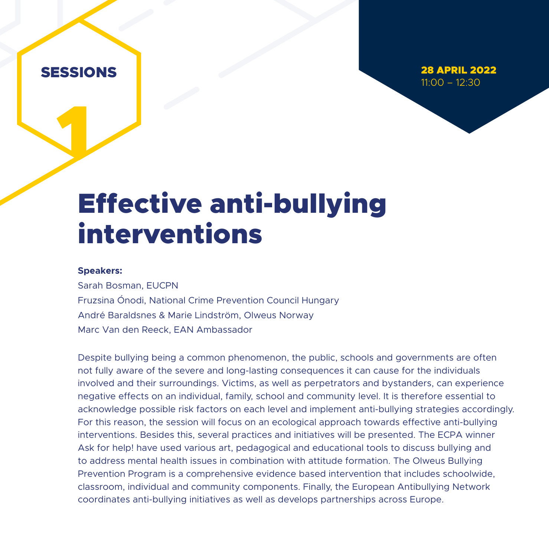1

28 APRIL 2022 11:00 – 12:30

### Effective anti-bullying interventions

#### **Speakers:**

Sarah Bosman, EUCPN Fruzsina Ónodi, National Crime Prevention Council Hungary André Baraldsnes & Marie Lindström, Olweus Norway Marc Van den Reeck, EAN Ambassador

Despite bullying being a common phenomenon, the public, schools and governments are often not fully aware of the severe and long-lasting consequences it can cause for the individuals involved and their surroundings. Victims, as well as perpetrators and bystanders, can experience negative effects on an individual, family, school and community level. It is therefore essential to acknowledge possible risk factors on each level and implement anti-bullying strategies accordingly. For this reason, the session will focus on an ecological approach towards effective anti-bullying interventions. Besides this, several practices and initiatives will be presented. The ECPA winner Ask for help! have used various art, pedagogical and educational tools to discuss bullying and to address mental health issues in combination with attitude formation. The Olweus Bullying Prevention Program is a comprehensive evidence based intervention that includes schoolwide, classroom, individual and community components. Finally, the European Antibullying Network coordinates anti-bullying initiatives as well as develops partnerships across Europe.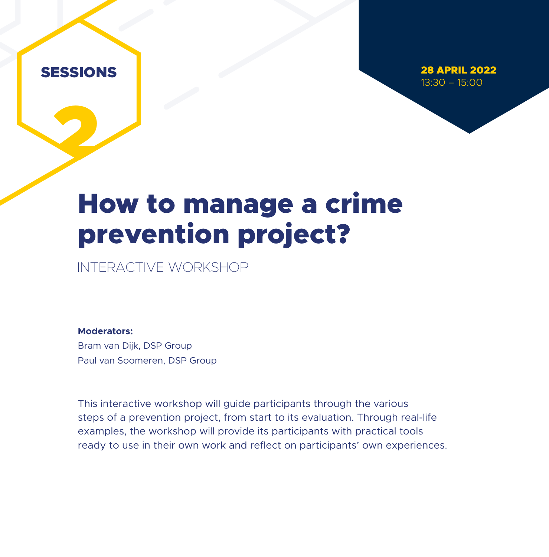2

28 APRIL 2022 13:30 – 15:00

### How to manage a crime prevention project?

INTERACTIVE WORKSHOP

**Moderators:**  Bram van Dijk, DSP Group Paul van Soomeren, DSP Group

This interactive workshop will guide participants through the various steps of a prevention project, from start to its evaluation. Through real-life examples, the workshop will provide its participants with practical tools ready to use in their own work and reflect on participants' own experiences.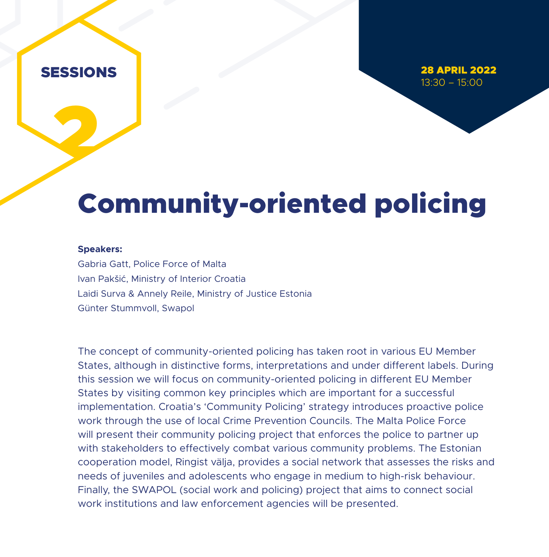2

28 APRIL 2022 13:30 – 15:00

### Community-oriented policing

#### **Speakers:**

Gabria Gatt, Police Force of Malta Ivan Pakšić, Ministry of Interior Croatia Laidi Surva & Annely Reile, Ministry of Justice Estonia Günter Stummvoll, Swapol

The concept of community-oriented policing has taken root in various EU Member States, although in distinctive forms, interpretations and under different labels. During this session we will focus on community-oriented policing in different EU Member States by visiting common key principles which are important for a successful implementation. Croatia's 'Community Policing' strategy introduces proactive police work through the use of local Crime Prevention Councils. The Malta Police Force will present their community policing project that enforces the police to partner up with stakeholders to effectively combat various community problems. The Estonian cooperation model, Ringist välja, provides a social network that assesses the risks and needs of juveniles and adolescents who engage in medium to high-risk behaviour. Finally, the SWAPOL (social work and policing) project that aims to connect social work institutions and law enforcement agencies will be presented.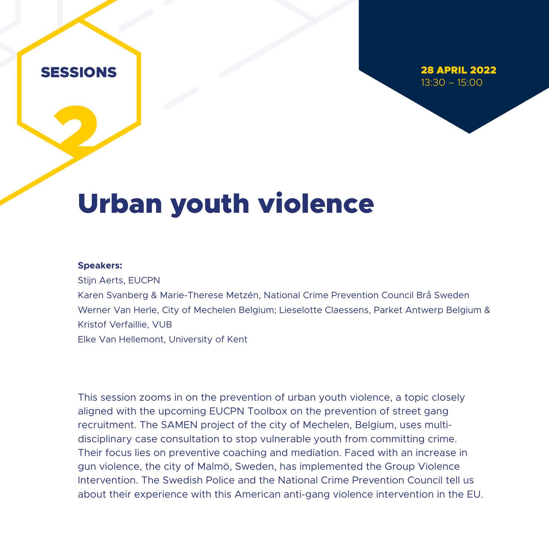2

28 APRIL 2022 13:30 – 15:00

### Urban youth violence

#### **Speakers:**

Stijn Aerts, EUCPN Karen Svanberg & Marie-Therese Metzén, National Crime Prevention Council Brå Sweden Werner Van Herle, City of Mechelen Belgium; Lieselotte Claessens, Parket Antwerp Belgium & Kristof Verfaillie, VUB Elke Van Hellemont, University of Kent

This session zooms in on the prevention of urban youth violence, a topic closely aligned with the upcoming EUCPN Toolbox on the prevention of street gang recruitment. The SAMEN project of the city of Mechelen, Belgium, uses multidisciplinary case consultation to stop vulnerable youth from committing crime. Their focus lies on preventive coaching and mediation. Faced with an increase in gun violence, the city of Malmö, Sweden, has implemented the Group Violence Intervention. The Swedish Police and the National Crime Prevention Council tell us about their experience with this American anti-gang violence intervention in the EU.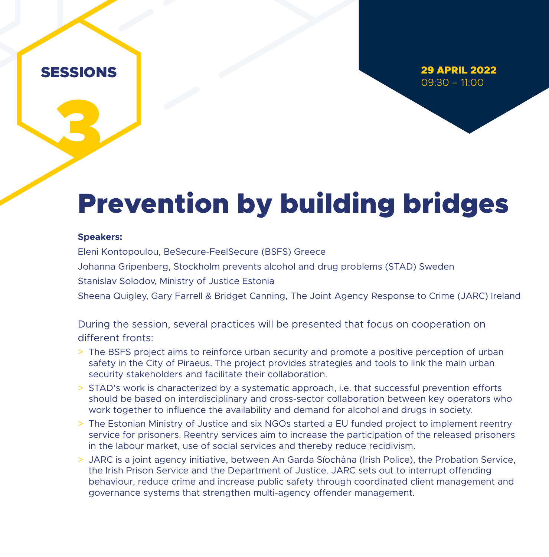3

29 APRIL 2022 09:30 – 11:00

### Prevention by building bridges

#### **Speakers:**

Eleni Kontopoulou, BeSecure-FeelSecure (BSFS) Greece Johanna Gripenberg, Stockholm prevents alcohol and drug problems (STAD) Sweden Stanislav Solodov, Ministry of Justice Estonia

Sheena Quigley, Gary Farrell & Bridget Canning, The Joint Agency Response to Crime (JARC) Ireland

During the session, several practices will be presented that focus on cooperation on different fronts:

- > The BSFS project aims to reinforce urban security and promote a positive perception of urban safety in the City of Piraeus. The project provides strategies and tools to link the main urban security stakeholders and facilitate their collaboration.
- > STAD's work is characterized by a systematic approach, i.e. that successful prevention efforts should be based on interdisciplinary and cross-sector collaboration between key operators who work together to influence the availability and demand for alcohol and drugs in society.
- > The Estonian Ministry of Justice and six NGOs started a EU funded project to implement reentry service for prisoners. Reentry services aim to increase the participation of the released prisoners in the labour market, use of social services and thereby reduce recidivism.
- > JARC is a joint agency initiative, between An Garda Síochána (Irish Police), the Probation Service, the Irish Prison Service and the Department of Justice. JARC sets out to interrupt offending behaviour, reduce crime and increase public safety through coordinated client management and governance systems that strengthen multi-agency offender management.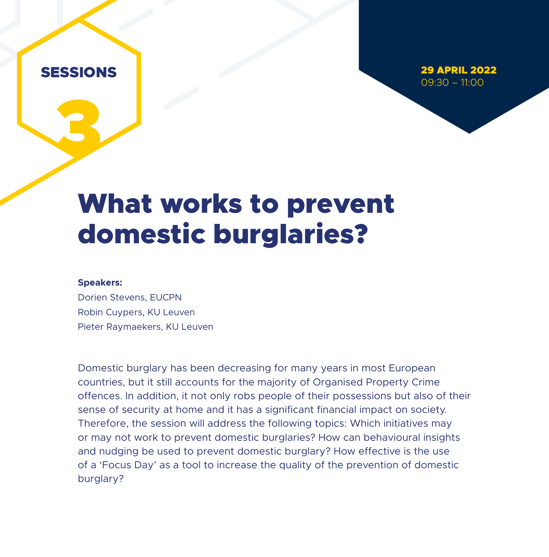3

29 APRIL 2022  $09:30 - 11:00$ 

### What works to prevent domestic burglaries?

#### **Speakers:**

Dorien Stevens, EUCPN Robin Cuypers, KU Leuven Pieter Raymaekers, KU Leuven

Domestic burglary has been decreasing for many years in most European countries, but it still accounts for the majority of Organised Property Crime offences. In addition, it not only robs people of their possessions but also of their sense of security at home and it has a significant financial impact on society. Therefore, the session will address the following topics: Which initiatives may or may not work to prevent domestic burglaries? How can behavioural insights and nudging be used to prevent domestic burglary? How effective is the use of a 'Focus Day' as a tool to increase the quality of the prevention of domestic burglary?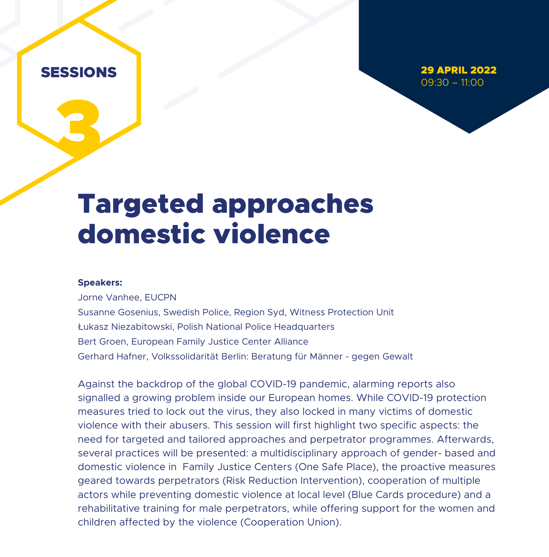3

29 APRIL 2022 09:30 – 11:00

### Targeted approaches domestic violence

#### **Speakers:**

Jorne Vanhee, EUCPN Susanne Gosenius, Swedish Police, Region Syd, Witness Protection Unit Łukasz Niezabitowski, Polish National Police Headquarters Bert Groen, European Family Justice Center Alliance Gerhard Hafner, Volkssolidarität Berlin: Beratung für Männer - gegen Gewalt

Against the backdrop of the global COVID-19 pandemic, alarming reports also signalled a growing problem inside our European homes. While COVID-19 protection measures tried to lock out the virus, they also locked in many victims of domestic violence with their abusers. This session will first highlight two specific aspects: the need for targeted and tailored approaches and perpetrator programmes. Afterwards, several practices will be presented: a multidisciplinary approach of gender- based and domestic violence in Family Justice Centers (One Safe Place), the proactive measures geared towards perpetrators (Risk Reduction Intervention), cooperation of multiple actors while preventing domestic violence at local level (Blue Cards procedure) and a rehabilitative training for male perpetrators, while offering support for the women and children affected by the violence (Cooperation Union).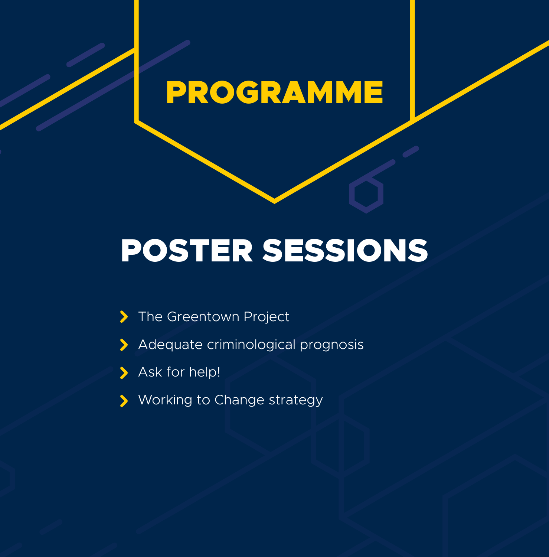### PROGRAMME

# POSTER SESSIONS

- $\blacktriangleright$ The Greentown Project
- Adequate criminological prognosis  $\blacktriangleright$
- > Ask for help!
- Working to Change strategy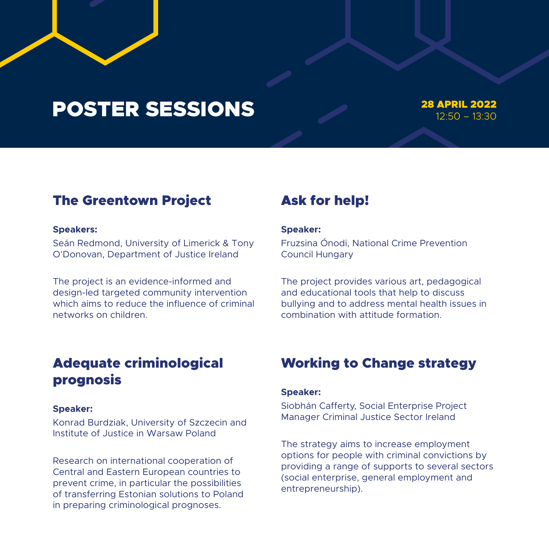### POSTER SESSIONS 28 APRIL 2022

### 12:50 – 13:30

### The Greentown Project

#### **Speakers:**

Seán Redmond, University of Limerick & Tony O'Donovan, Department of Justice Ireland

The project is an evidence-informed and design-led targeted community intervention which aims to reduce the influence of criminal networks on children.

### Adequate criminological prognosis

#### **Speaker:**

Konrad Burdziak, University of Szczecin and Institute of Justice in Warsaw Poland

Research on international cooperation of Central and Eastern European countries to prevent crime, in particular the possibilities of transferring Estonian solutions to Poland in preparing criminological prognoses.

### Ask for help!

#### **Speaker:**

Fruzsina Ónodi, National Crime Prevention Council Hungary

The project provides various art, pedagogical and educational tools that help to discuss bullying and to address mental health issues in combination with attitude formation.

### Working to Change strategy

#### **Speaker:**

Siobhán Cafferty, Social Enterprise Project Manager Criminal Justice Sector Ireland

The strategy aims to increase employment options for people with criminal convictions by providing a range of supports to several sectors (social enterprise, general employment and entrepreneurship).